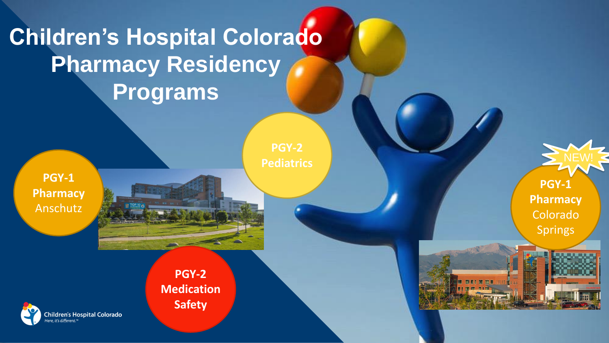# **Children's Hospital Colorado Pharmacy Residency Programs**

**PGY-1 Pharmacy** Anschutz

**PGY-2 Pediatrics**

**PGY-2 Medication Safety** 



**PGY-1** 

**Pharmacy** Colorado Springs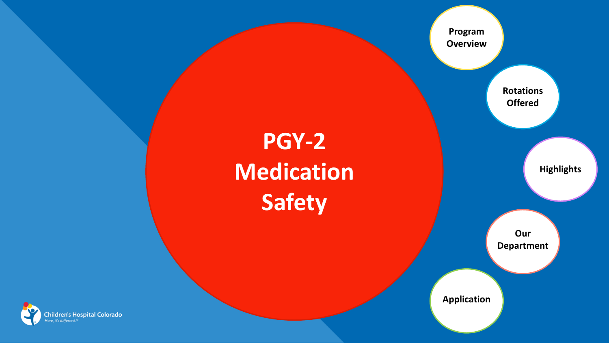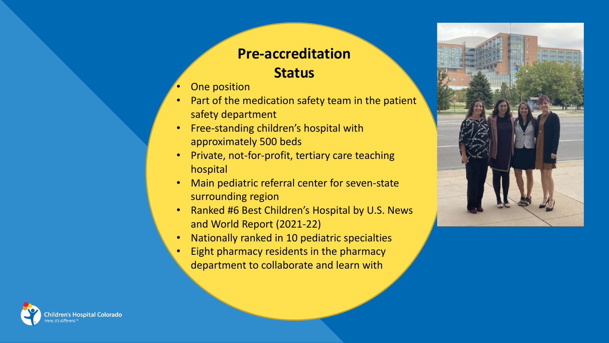## **Pre-accreditation Status**

- One position
- Part of the medication safety team in the patient safety department
- Free-standing children's hospital with approximately 500 beds
- Private, not-for-profit, tertiary care teaching hospital
- Main pediatric referral center for seven-state surrounding region
- Ranked #6 Best Children's Hospital by U.S. News and World Report (2021-22)
- Nationally ranked in 10 pediatric specialties
- Eight pharmacy residents in the pharmacy department to collaborate and learn with



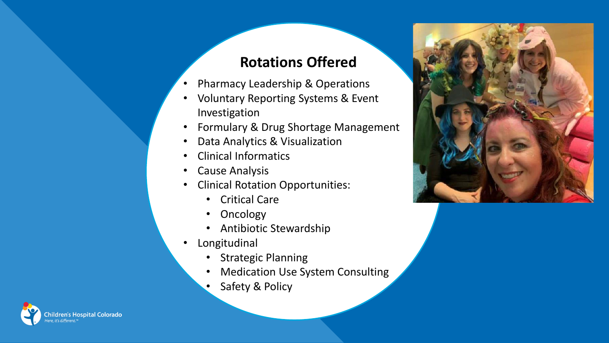# **Rotations Offered**

- Pharmacy Leadership & Operations
- Voluntary Reporting Systems & Event Investigation
- Formulary & Drug Shortage Management
- Data Analytics & Visualization
- Clinical Informatics
- Cause Analysis
- Clinical Rotation Opportunities:
	- Critical Care
	- Oncology
	- Antibiotic Stewardship
- Longitudinal
	- Strategic Planning
	- Medication Use System Consulting
	- Safety & Policy



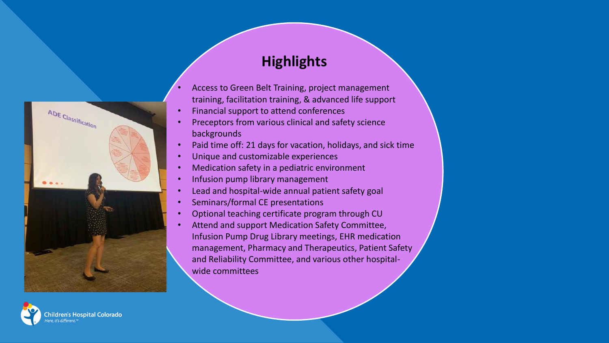# ADE Classification

ildren's Hospital Colorado

## **Highlights**

- Access to Green Belt Training, project management training, facilitation training, & advanced life support
- Financial support to attend conferences
- Preceptors from various clinical and safety science backgrounds
- Paid time off: 21 days for vacation, holidays, and sick time
- Unique and customizable experiences
- Medication safety in a pediatric environment
- Infusion pump library management
- Lead and hospital-wide annual patient safety goal
- Seminars/formal CE presentations
- Optional teaching certificate program through CU
- Attend and support Medication Safety Committee, Infusion Pump Drug Library meetings, EHR medication management, Pharmacy and Therapeutics, Patient Safety and Reliability Committee, and various other hospitalwide committees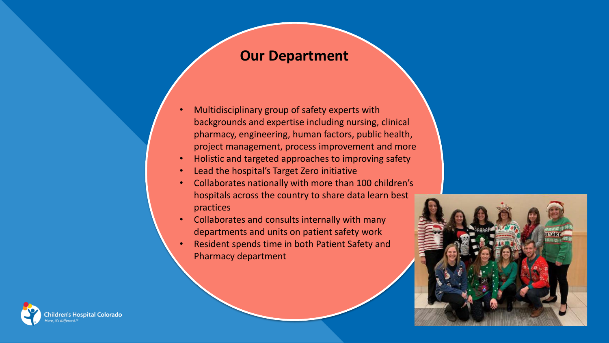### **Our Department**

- Multidisciplinary group of safety experts with backgrounds and expertise including nursing, clinical pharmacy, engineering, human factors, public health, project management, process improvement and more
- Holistic and targeted approaches to improving safety
- Lead the hospital's Target Zero initiative
- Collaborates nationally with more than 100 children's hospitals across the country to share data learn best practices
- Collaborates and consults internally with many departments and units on patient safety work
- Resident spends time in both Patient Safety and Pharmacy department



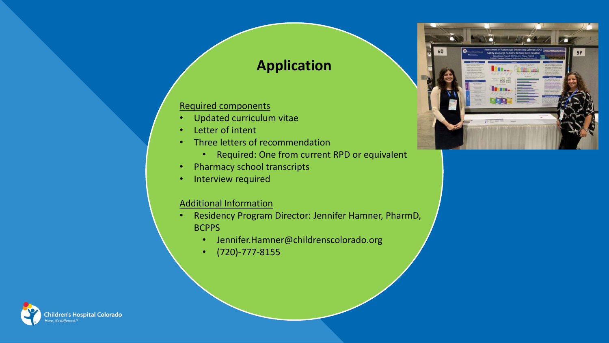## **Application**

### Required components

- Updated curriculum vitae
- Letter of intent
- Three letters of recommendation
	- Required: One from current RPD or equivalent
- Pharmacy school transcripts
- Interview required

### Additional Information

- Residency Program Director: Jennifer Hamner, PharmD, **BCPPS** 
	- Jennifer.Hamner@childrenscolorado.org
	- (720)-777-8155